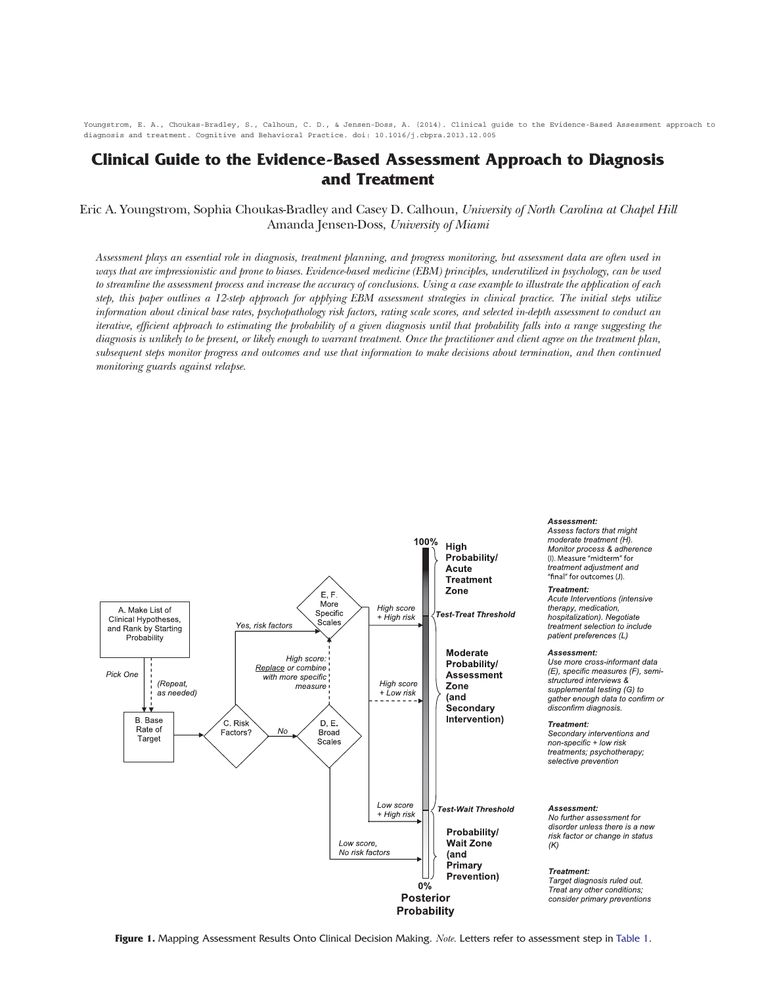Youngstrom, E. A., Choukas-Bradley, S., Calhoun, C. D., & Jensen-Doss, A. (2014). Clinical guide to the Evidence-Based Assessment approach to diagnosis and treatment. Cognitive and Behavioral Practice. doi: 10.1016/j.cbpra.2013.12.005

## Clinical Guide to the Evidence-Based Assessment Approach to Diagnosis and Treatment

Eric A. Youngstrom, Sophia Choukas-Bradley and Casey D. Calhoun, University of North Carolina at Chapel Hill Amanda Jensen-Doss, University of Miami

Assessment plays an essential role in diagnosis, treatment planning, and progress monitoring, but assessment data are often used in ways that are impressionistic and prone to biases. Evidence-based medicine (EBM) principles, underutilized in psychology, can be used to streamline the assessment process and increase the accuracy of conclusions. Using <sup>a</sup> case example to illustrate the application of each step, this paper outlines <sup>a</sup> 12-step approach for applying EBM assessment strategies in clinical practice. The initial steps utilize information about clinical base rates, psychopathology risk factors, rating scale scores, and selected in-depth assessment to conduct an iterative, efficient approach to estimating the probability of <sup>a</sup> given diagnosis until that probability falls into <sup>a</sup> range suggesting the diagnosis is unlikely to be present, or likely enough to warrant treatment. Once the practitioner and client agree on the treatment plan, subsequent steps monitor progress and outcomes and use that information to make decisions about termination, and then continued monitoring guards against relapse.



Assessment:

Assess factors that might moderate treatment (H). Monitor process & adherence (I). Measure "midterm" for treatment adjustment and "final" for outcomes (J). Treatment:

Acute Interventions (intensive therapy, medication, hospitalization). Negotiate treatment selection to include patient preferences (L)

## Assessment:

Use more cross-informant data (E), specific measures (F), semistructured interviews & supplemental testing (G) to gather enough data to confirm or disconfirm diagnosis.

Treatment:

Secondary interventions and non-specific + low risk treatments; psychotherapy; selective prevention

## Assessment:

No further assessment for disorder unless there is a new risk factor or change in status

Treatment: Target diagnosis ruled out. Treat any other conditions; consider primary preventions